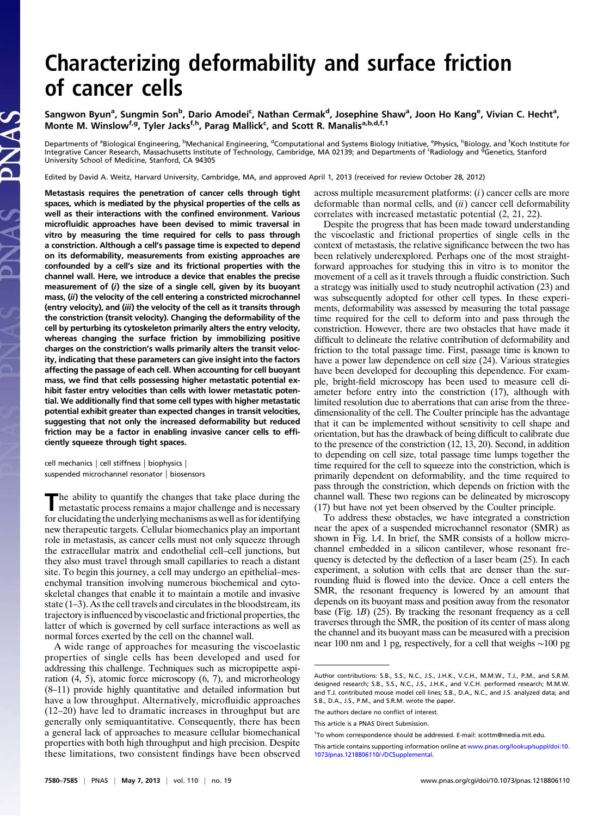# Characterizing deformability and surface friction of cancer cells

Sangwon Byun<sup>a</sup>, Sungmin Son<sup>b</sup>, Dario Amodei<sup>c</sup>, Nathan Cermak<sup>d</sup>, Josephine Shaw<sup>a</sup>, Joon Ho Kang<sup>e</sup>, Vivian C. Hecht<sup>a</sup>, Monte M. Winslow<sup>f,g</sup>, Tyler Jacks<sup>f,h</sup>, Parag Mallick<sup>c</sup>, and Scott R. Manalis<sup>a,b,d,f,1</sup>

Departments of <sup>a</sup>Biological Engineering, <sup>b</sup>Mechanical Engineering, <sup>d</sup>Computational and Systems Biology Initiative, <sup>e</sup>Physics, <sup>h</sup>Biology, and <sup>f</sup>Koch Institute for Integrative Cancer Research, Massachusetts Institute of Technology, Cambridge, MA 02139; and Departments of <sup>c</sup>Radiology and <sup>g</sup>Genetics, Stanford University School of Medicine, Stanford, CA 94305

Edited by David A. Weitz, Harvard University, Cambridge, MA, and approved April 1, 2013 (received for review October 28, 2012)

Metastasis requires the penetration of cancer cells through tight spaces, which is mediated by the physical properties of the cells as well as their interactions with the confined environment. Various microfluidic approaches have been devised to mimic traversal in vitro by measuring the time required for cells to pass through a constriction. Although a cell's passage time is expected to depend on its deformability, measurements from existing approaches are confounded by a cell's size and its frictional properties with the channel wall. Here, we introduce a device that enables the precise measurement of (i) the size of a single cell, given by its buoyant mass, (ii) the velocity of the cell entering a constricted microchannel (entry velocity), and (iii) the velocity of the cell as it transits through the constriction (transit velocity). Changing the deformability of the cell by perturbing its cytoskeleton primarily alters the entry velocity, whereas changing the surface friction by immobilizing positive charges on the constriction's walls primarily alters the transit velocity, indicating that these parameters can give insight into the factors affecting the passage of each cell. When accounting for cell buoyant mass, we find that cells possessing higher metastatic potential exhibit faster entry velocities than cells with lower metastatic potential. We additionally find that some cell types with higher metastatic potential exhibit greater than expected changes in transit velocities, suggesting that not only the increased deformability but reduced friction may be a factor in enabling invasive cancer cells to efficiently squeeze through tight spaces.

cell mechanics | cell stiffness | biophysics | suspended microchannel resonator | biosensors

The ability to quantify the changes that take place during the metastatic process remains metastatic process remains a major challenge and is necessary for elucidating the underlying mechanisms as well as for identifying new therapeutic targets. Cellular biomechanics play an important role in metastasis, as cancer cells must not only squeeze through the extracellular matrix and endothelial cell–cell junctions, but they also must travel through small capillaries to reach a distant site. To begin this journey, a cell may undergo an epithelial–mesenchymal transition involving numerous biochemical and cytoskeletal changes that enable it to maintain a motile and invasive state (1–3). As the cell travels and circulates in the bloodstream, its trajectory is influenced by viscoelastic and frictional properties, the latter of which is governed by cell surface interactions as well as normal forces exerted by the cell on the channel wall.

A wide range of approaches for measuring the viscoelastic properties of single cells has been developed and used for addressing this challenge. Techniques such as micropipette aspiration (4, 5), atomic force microscopy (6, 7), and microrheology (8–11) provide highly quantitative and detailed information but have a low throughput. Alternatively, microfluidic approaches (12–20) have led to dramatic increases in throughput but are generally only semiquantitative. Consequently, there has been a general lack of approaches to measure cellular biomechanical properties with both high throughput and high precision. Despite these limitations, two consistent findings have been observed across multiple measurement platforms: (i) cancer cells are more deformable than normal cells, and  $(ii)$  cancer cell deformability correlates with increased metastatic potential (2, 21, 22).

Despite the progress that has been made toward understanding the viscoelastic and frictional properties of single cells in the context of metastasis, the relative significance between the two has been relatively underexplored. Perhaps one of the most straightforward approaches for studying this in vitro is to monitor the movement of a cell as it travels through a fluidic constriction. Such a strategy was initially used to study neutrophil activation (23) and was subsequently adopted for other cell types. In these experiments, deformability was assessed by measuring the total passage time required for the cell to deform into and pass through the constriction. However, there are two obstacles that have made it difficult to delineate the relative contribution of deformability and friction to the total passage time. First, passage time is known to have a power law dependence on cell size (24). Various strategies have been developed for decoupling this dependence. For example, bright-field microscopy has been used to measure cell diameter before entry into the constriction (17), although with limited resolution due to aberrations that can arise from the threedimensionality of the cell. The Coulter principle has the advantage that it can be implemented without sensitivity to cell shape and orientation, but has the drawback of being difficult to calibrate due to the presence of the constriction (12, 13, 20). Second, in addition to depending on cell size, total passage time lumps together the time required for the cell to squeeze into the constriction, which is primarily dependent on deformability, and the time required to pass through the constriction, which depends on friction with the channel wall. These two regions can be delineated by microscopy (17) but have not yet been observed by the Coulter principle.

To address these obstacles, we have integrated a constriction near the apex of a suspended microchannel resonator (SMR) as shown in Fig. 1A. In brief, the SMR consists of a hollow microchannel embedded in a silicon cantilever, whose resonant frequency is detected by the deflection of a laser beam (25). In each experiment, a solution with cells that are denser than the surrounding fluid is flowed into the device. Once a cell enters the SMR, the resonant frequency is lowered by an amount that depends on its buoyant mass and position away from the resonator base (Fig. 1B) (25). By tracking the resonant frequency as a cell traverses through the SMR, the position of its center of mass along the channel and its buoyant mass can be measured with a precision near 100 nm and 1 pg, respectively, for a cell that weighs ∼100 pg

Author contributions: S.B., S.S., N.C., J.S., J.H.K., V.C.H., M.M.W., T.J., P.M., and S.R.M. designed research; S.B., S.S., N.C., J.S., J.H.K., and V.C.H. performed research; M.M.W. and T.J. contributed mouse model cell lines; S.B., D.A., N.C., and J.S. analyzed data; and S.B., D.A., J.S., P.M., and S.R.M. wrote the paper.

The authors declare no conflict of interest.

This article is a PNAS Direct Submission.

<sup>&</sup>lt;sup>1</sup>To whom correspondence should be addressed. E-mail: [scottm@media.mit.edu.](mailto:scottm@media.mit.edu)

This article contains supporting information online at [www.pnas.org/lookup/suppl/doi:10.](http://www.pnas.org/lookup/suppl/doi:10.1073/pnas.1218806110/-/DCSupplemental) [1073/pnas.1218806110/-/DCSupplemental.](http://www.pnas.org/lookup/suppl/doi:10.1073/pnas.1218806110/-/DCSupplemental)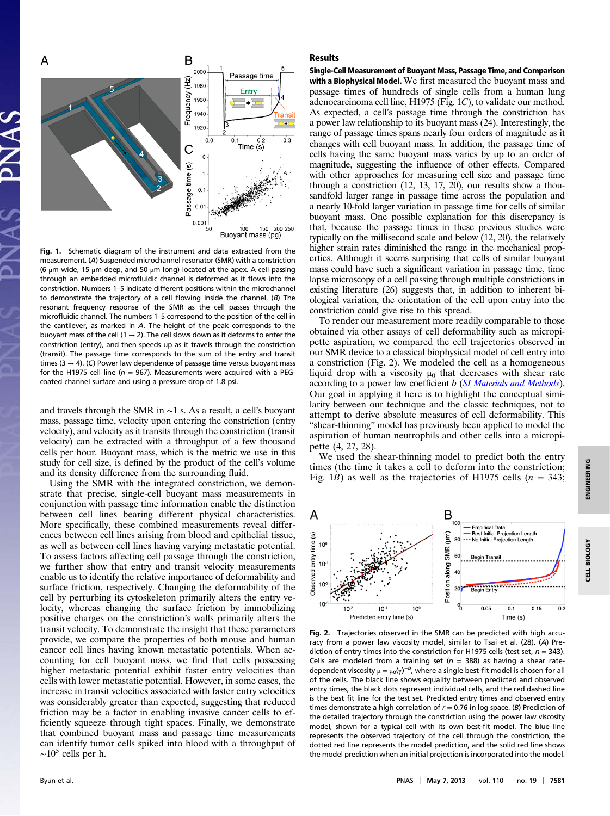

Fig. 1. Schematic diagram of the instrument and data extracted from the measurement. (A) Suspended microchannel resonator (SMR) with a constriction (6 μm wide, 15 μm deep, and 50 μm long) located at the apex. A cell passing through an embedded microfluidic channel is deformed as it flows into the constriction. Numbers 1–5 indicate different positions within the microchannel to demonstrate the trajectory of a cell flowing inside the channel. (B) The resonant frequency response of the SMR as the cell passes through the microfluidic channel. The numbers 1–5 correspond to the position of the cell in the cantilever, as marked in A. The height of the peak corresponds to the buoyant mass of the cell (1  $\rightarrow$  2). The cell slows down as it deforms to enter the constriction (entry), and then speeds up as it travels through the constriction (transit). The passage time corresponds to the sum of the entry and transit times (3  $\rightarrow$  4). (C) Power law dependence of passage time versus buoyant mass for the H1975 cell line ( $n = 967$ ). Measurements were acquired with a PEGcoated channel surface and using a pressure drop of 1.8 psi.

and travels through the SMR in ∼1 s. As a result, a cell's buoyant mass, passage time, velocity upon entering the constriction (entry velocity), and velocity as it transits through the constriction (transit velocity) can be extracted with a throughput of a few thousand cells per hour. Buoyant mass, which is the metric we use in this study for cell size, is defined by the product of the cell's volume and its density difference from the surrounding fluid.

Using the SMR with the integrated constriction, we demonstrate that precise, single-cell buoyant mass measurements in conjunction with passage time information enable the distinction between cell lines bearing different physical characteristics. More specifically, these combined measurements reveal differences between cell lines arising from blood and epithelial tissue, as well as between cell lines having varying metastatic potential. To assess factors affecting cell passage through the constriction, we further show that entry and transit velocity measurements enable us to identify the relative importance of deformability and surface friction, respectively. Changing the deformability of the cell by perturbing its cytoskeleton primarily alters the entry velocity, whereas changing the surface friction by immobilizing positive charges on the constriction's walls primarily alters the transit velocity. To demonstrate the insight that these parameters provide, we compare the properties of both mouse and human cancer cell lines having known metastatic potentials. When accounting for cell buoyant mass, we find that cells possessing higher metastatic potential exhibit faster entry velocities than cells with lower metastatic potential. However, in some cases, the increase in transit velocities associated with faster entry velocities was considerably greater than expected, suggesting that reduced friction may be a factor in enabling invasive cancer cells to efficiently squeeze through tight spaces. Finally, we demonstrate that combined buoyant mass and passage time measurements can identify tumor cells spiked into blood with a throughput of  $\sim$ 10<sup>5</sup> cells per h.

## Results

Single-Cell Measurement of Buoyant Mass, Passage Time, and Comparison with a Biophysical Model. We first measured the buoyant mass and passage times of hundreds of single cells from a human lung adenocarcinoma cell line, H1975 (Fig. 1C), to validate our method. As expected, a cell's passage time through the constriction has a power law relationship to its buoyant mass (24). Interestingly, the range of passage times spans nearly four orders of magnitude as it changes with cell buoyant mass. In addition, the passage time of cells having the same buoyant mass varies by up to an order of magnitude, suggesting the influence of other effects. Compared with other approaches for measuring cell size and passage time through a constriction (12, 13, 17, 20), our results show a thousandfold larger range in passage time across the population and a nearly 10-fold larger variation in passage time for cells of similar buoyant mass. One possible explanation for this discrepancy is that, because the passage times in these previous studies were typically on the millisecond scale and below (12, 20), the relatively higher strain rates diminished the range in the mechanical properties. Although it seems surprising that cells of similar buoyant mass could have such a significant variation in passage time, time lapse microscopy of a cell passing through multiple constrictions in existing literature (26) suggests that, in addition to inherent biological variation, the orientation of the cell upon entry into the constriction could give rise to this spread.

To render our measurement more readily comparable to those obtained via other assays of cell deformability such as micropipette aspiration, we compared the cell trajectories observed in our SMR device to a classical biophysical model of cell entry into a constriction (Fig. 2). We modeled the cell as a homogeneous liquid drop with a viscosity  $\mu_0$  that decreases with shear rate according to a power law coefficient b ([SI Materials and Methods](http://www.pnas.org/lookup/suppl/doi:10.1073/pnas.1218806110/-/DCSupplemental/pnas.201218806SI.pdf?targetid=nameddest=STXT)). Our goal in applying it here is to highlight the conceptual similarity between our technique and the classic techniques, not to attempt to derive absolute measures of cell deformability. This "shear-thinning" model has previously been applied to model the aspiration of human neutrophils and other cells into a micropipette (4, 27, 28).

We used the shear-thinning model to predict both the entry times (the time it takes a cell to deform into the constriction; Fig. 1B) as well as the trajectories of H1975 cells ( $n = 343$ ;



Fig. 2. Trajectories observed in the SMR can be predicted with high accuracy from a power law viscosity model, similar to Tsai et al. (28). (A) Prediction of entry times into the constriction for H1975 cells (test set,  $n = 343$ ). Cells are modeled from a training set ( $n = 388$ ) as having a shear ratedependent viscosity  $\mu = \mu_0(\gamma)^{-b}$ , where a single best-fit model is chosen for all of the cells. The black line shows equality between predicted and observed entry times, the black dots represent individual cells, and the red dashed line is the best fit line for the test set. Predicted entry times and observed entry times demonstrate a high correlation of  $r = 0.76$  in log space. (B) Prediction of the detailed trajectory through the constriction using the power law viscosity model, shown for a typical cell with its own best-fit model. The blue line represents the observed trajectory of the cell through the constriction, the dotted red line represents the model prediction, and the solid red line shows the model prediction when an initial projection is incorporated into the model.

CELL BIOLOGY

**CELL BIOLOGY**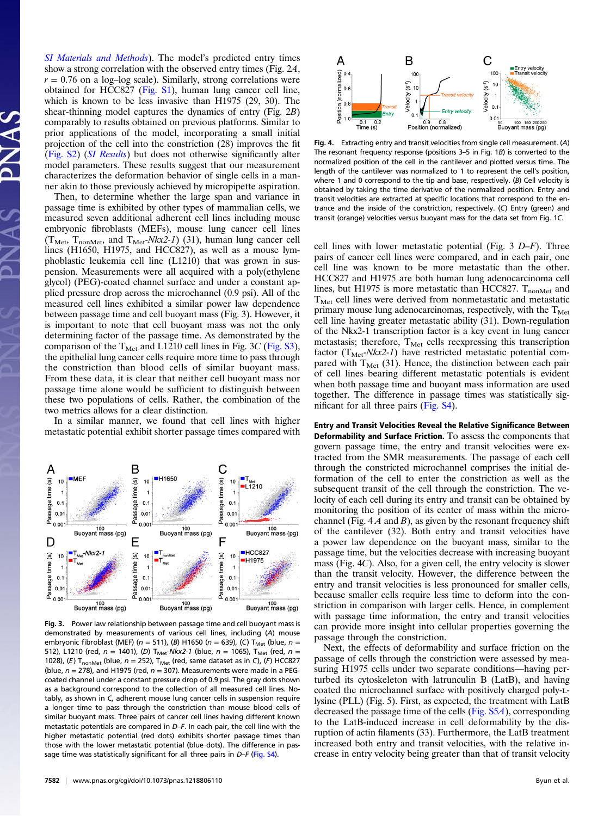[SI Materials and Methods](http://www.pnas.org/lookup/suppl/doi:10.1073/pnas.1218806110/-/DCSupplemental/pnas.201218806SI.pdf?targetid=nameddest=STXT)). The model's predicted entry times show a strong correlation with the observed entry times (Fig. 2A,  $r = 0.76$  on a log-log scale). Similarly, strong correlations were obtained for HCC827 [\(Fig. S1](http://www.pnas.org/lookup/suppl/doi:10.1073/pnas.1218806110/-/DCSupplemental/pnas.201218806SI.pdf?targetid=nameddest=SF1)), human lung cancer cell line, which is known to be less invasive than H1975 (29, 30). The shear-thinning model captures the dynamics of entry (Fig. 2B) comparably to results obtained on previous platforms. Similar to prior applications of the model, incorporating a small initial projection of the cell into the constriction (28) improves the fit [\(Fig. S2\)](http://www.pnas.org/lookup/suppl/doi:10.1073/pnas.1218806110/-/DCSupplemental/pnas.201218806SI.pdf?targetid=nameddest=SF2) ([SI Results](http://www.pnas.org/lookup/suppl/doi:10.1073/pnas.1218806110/-/DCSupplemental/pnas.201218806SI.pdf?targetid=nameddest=STXT)) but does not otherwise significantly alter model parameters. These results suggest that our measurement characterizes the deformation behavior of single cells in a manner akin to those previously achieved by micropipette aspiration.

Then, to determine whether the large span and variance in passage time is exhibited by other types of mammalian cells, we measured seven additional adherent cell lines including mouse embryonic fibroblasts (MEFs), mouse lung cancer cell lines  $(T_{\text{Met}}, T_{\text{nonMet}},$  and  $T_{\text{Met}}$ -Nkx2-1) (31), human lung cancer cell lines (H1650, H1975, and HCC827), as well as a mouse lymphoblastic leukemia cell line (L1210) that was grown in suspension. Measurements were all acquired with a poly(ethylene glycol) (PEG)-coated channel surface and under a constant applied pressure drop across the microchannel (0.9 psi). All of the measured cell lines exhibited a similar power law dependence between passage time and cell buoyant mass (Fig. 3). However, it is important to note that cell buoyant mass was not the only determining factor of the passage time. As demonstrated by the comparison of the  $T_{\text{Met}}$  and L1210 cell lines in Fig. 3C [\(Fig. S3](http://www.pnas.org/lookup/suppl/doi:10.1073/pnas.1218806110/-/DCSupplemental/pnas.201218806SI.pdf?targetid=nameddest=SF3)), the epithelial lung cancer cells require more time to pass through the constriction than blood cells of similar buoyant mass. From these data, it is clear that neither cell buoyant mass nor passage time alone would be sufficient to distinguish between these two populations of cells. Rather, the combination of the two metrics allows for a clear distinction.

In a similar manner, we found that cell lines with higher metastatic potential exhibit shorter passage times compared with



Fig. 3. Power law relationship between passage time and cell buoyant mass is demonstrated by measurements of various cell lines, including (A) mouse embryonic fibroblast (MEF) ( $n = 511$ ), (B) H1650 ( $n = 639$ ), (C) T<sub>Met</sub> (blue,  $n =$ 512), L1210 (red,  $n = 1401$ ), (D) T<sub>Met</sub>-Nkx2-1 (blue,  $n = 1065$ ), T<sub>Met</sub> (red,  $n =$ 1028), (E) T<sub>nonMet</sub> (blue,  $n = 252$ ), T<sub>Met</sub> (red, same dataset as in C), (F) HCC827 (blue,  $n = 278$ ), and H1975 (red,  $n = 307$ ). Measurements were made in a PEGcoated channel under a constant pressure drop of 0.9 psi. The gray dots shown as a background correspond to the collection of all measured cell lines. Notably, as shown in C, adherent mouse lung cancer cells in suspension require a longer time to pass through the constriction than mouse blood cells of similar buoyant mass. Three pairs of cancer cell lines having different known metastatic potentials are compared in D–F. In each pair, the cell line with the higher metastatic potential (red dots) exhibits shorter passage times than those with the lower metastatic potential (blue dots). The difference in pas-sage time was statistically significant for all three pairs in D–F [\(Fig. S4\)](http://www.pnas.org/lookup/suppl/doi:10.1073/pnas.1218806110/-/DCSupplemental/pnas.201218806SI.pdf?targetid=nameddest=SF4).



Fig. 4. Extracting entry and transit velocities from single cell measurement. (A) The resonant frequency response (positions 3–5 in Fig. 1B) is converted to the normalized position of the cell in the cantilever and plotted versus time. The length of the cantilever was normalized to 1 to represent the cell's position, where 1 and 0 correspond to the tip and base, respectively. (B) Cell velocity is obtained by taking the time derivative of the normalized position. Entry and transit velocities are extracted at specific locations that correspond to the entrance and the inside of the constriction, respectively. (C) Entry (green) and transit (orange) velocities versus buoyant mass for the data set from Fig. 1C.

cell lines with lower metastatic potential (Fig.  $3$  D–F). Three pairs of cancer cell lines were compared, and in each pair, one cell line was known to be more metastatic than the other. HCC827 and H1975 are both human lung adenocarcinoma cell lines, but H1975 is more metastatic than  $HCC827$ .  $T_{nonMet}$  and  $T<sub>Met</sub>$  cell lines were derived from nonmetastatic and metastatic primary mouse lung adenocarcinomas, respectively, with the  $T_{\text{Met}}$ cell line having greater metastatic ability (31). Down-regulation of the Nkx2-1 transcription factor is a key event in lung cancer metastasis; therefore,  $T_{\text{Met}}$  cells reexpressing this transcription factor  $(T_{\text{Met}}-Nkx^2-1)$  have restricted metastatic potential compared with  $T_{\text{Met}}$  (31). Hence, the distinction between each pair of cell lines bearing different metastatic potentials is evident when both passage time and buoyant mass information are used together. The difference in passage times was statistically significant for all three pairs [\(Fig. S4](http://www.pnas.org/lookup/suppl/doi:10.1073/pnas.1218806110/-/DCSupplemental/pnas.201218806SI.pdf?targetid=nameddest=SF4)).

Entry and Transit Velocities Reveal the Relative Significance Between Deformability and Surface Friction. To assess the components that govern passage time, the entry and transit velocities were extracted from the SMR measurements. The passage of each cell through the constricted microchannel comprises the initial deformation of the cell to enter the constriction as well as the subsequent transit of the cell through the constriction. The velocity of each cell during its entry and transit can be obtained by monitoring the position of its center of mass within the microchannel (Fig.  $4A$  and B), as given by the resonant frequency shift of the cantilever (32). Both entry and transit velocities have a power law dependence on the buoyant mass, similar to the passage time, but the velocities decrease with increasing buoyant mass (Fig. 4C). Also, for a given cell, the entry velocity is slower than the transit velocity. However, the difference between the entry and transit velocities is less pronounced for smaller cells, because smaller cells require less time to deform into the constriction in comparison with larger cells. Hence, in complement with passage time information, the entry and transit velocities can provide more insight into cellular properties governing the passage through the constriction.

Next, the effects of deformability and surface friction on the passage of cells through the constriction were assessed by measuring H1975 cells under two separate conditions—having perturbed its cytoskeleton with latrunculin B (LatB), and having coated the microchannel surface with positively charged poly-Llysine (PLL) (Fig. 5). First, as expected, the treatment with LatB decreased the passage time of the cells [\(Fig. S5](http://www.pnas.org/lookup/suppl/doi:10.1073/pnas.1218806110/-/DCSupplemental/pnas.201218806SI.pdf?targetid=nameddest=SF5)A), corresponding to the LatB-induced increase in cell deformability by the disruption of actin filaments (33). Furthermore, the LatB treatment increased both entry and transit velocities, with the relative increase in entry velocity being greater than that of transit velocity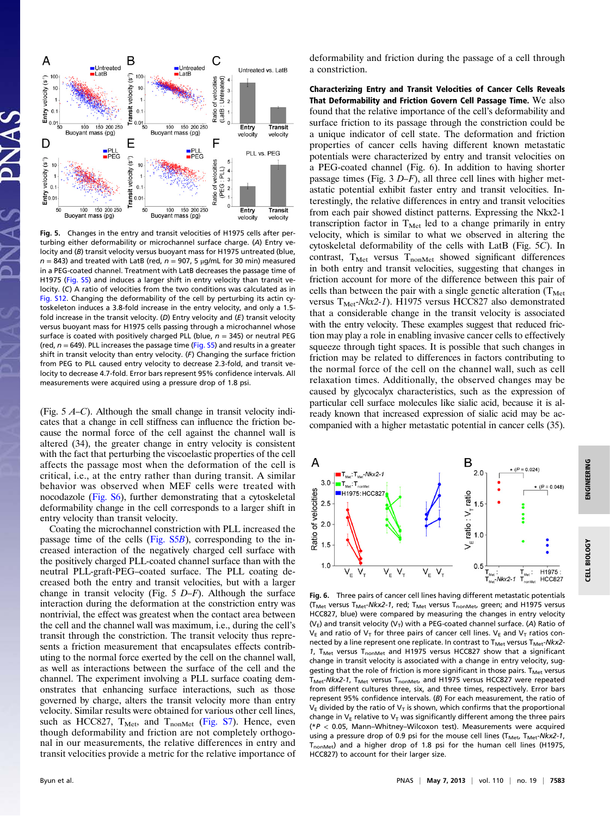

Fig. 5. Changes in the entry and transit velocities of H1975 cells after perturbing either deformability or microchannel surface charge. (A) Entry velocity and (B) transit velocity versus buoyant mass for H1975 untreated (blue,  $n = 843$ ) and treated with LatB (red,  $n = 907$ , 5  $\mu$ g/mL for 30 min) measured in a PEG-coated channel. Treatment with LatB decreases the passage time of H1975 ([Fig. S5](http://www.pnas.org/lookup/suppl/doi:10.1073/pnas.1218806110/-/DCSupplemental/pnas.201218806SI.pdf?targetid=nameddest=SF5)) and induces a larger shift in entry velocity than transit velocity. (C) A ratio of velocities from the two conditions was calculated as in [Fig. S12.](http://www.pnas.org/lookup/suppl/doi:10.1073/pnas.1218806110/-/DCSupplemental/pnas.201218806SI.pdf?targetid=nameddest=SF12) Changing the deformability of the cell by perturbing its actin cytoskeleton induces a 3.8-fold increase in the entry velocity, and only a 1.5 fold increase in the transit velocity. (D) Entry velocity and  $(E)$  transit velocity versus buoyant mass for H1975 cells passing through a microchannel whose surface is coated with positively charged PLL (blue,  $n = 345$ ) or neutral PEG (red,  $n = 649$ ). PLL increases the passage time ([Fig. S5](http://www.pnas.org/lookup/suppl/doi:10.1073/pnas.1218806110/-/DCSupplemental/pnas.201218806SI.pdf?targetid=nameddest=SF5)) and results in a greater shift in transit velocity than entry velocity. (F) Changing the surface friction from PEG to PLL caused entry velocity to decrease 2.3-fold, and transit velocity to decrease 4.7-fold. Error bars represent 95% confidence intervals. All measurements were acquired using a pressure drop of 1.8 psi.

(Fig. 5 A–C). Although the small change in transit velocity indicates that a change in cell stiffness can influence the friction because the normal force of the cell against the channel wall is altered (34), the greater change in entry velocity is consistent with the fact that perturbing the viscoelastic properties of the cell affects the passage most when the deformation of the cell is critical, i.e., at the entry rather than during transit. A similar behavior was observed when MEF cells were treated with nocodazole [\(Fig. S6\)](http://www.pnas.org/lookup/suppl/doi:10.1073/pnas.1218806110/-/DCSupplemental/pnas.201218806SI.pdf?targetid=nameddest=SF6), further demonstrating that a cytoskeletal deformability change in the cell corresponds to a larger shift in entry velocity than transit velocity.

Coating the microchannel constriction with PLL increased the passage time of the cells [\(Fig. S5](http://www.pnas.org/lookup/suppl/doi:10.1073/pnas.1218806110/-/DCSupplemental/pnas.201218806SI.pdf?targetid=nameddest=SF5)B), corresponding to the increased interaction of the negatively charged cell surface with the positively charged PLL-coated channel surface than with the neutral PLL-graft-PEG–coated surface. The PLL coating decreased both the entry and transit velocities, but with a larger change in transit velocity (Fig.  $5$  D–F). Although the surface interaction during the deformation at the constriction entry was nontrivial, the effect was greatest when the contact area between the cell and the channel wall was maximum, i.e., during the cell's transit through the constriction. The transit velocity thus represents a friction measurement that encapsulates effects contributing to the normal force exerted by the cell on the channel wall, as well as interactions between the surface of the cell and the channel. The experiment involving a PLL surface coating demonstrates that enhancing surface interactions, such as those governed by charge, alters the transit velocity more than entry velocity. Similar results were obtained for various other cell lines, such as HCC827,  $T_{Met}$ , and  $T_{nonMet}$  [\(Fig. S7](http://www.pnas.org/lookup/suppl/doi:10.1073/pnas.1218806110/-/DCSupplemental/pnas.201218806SI.pdf?targetid=nameddest=SF7)). Hence, even though deformability and friction are not completely orthogonal in our measurements, the relative differences in entry and transit velocities provide a metric for the relative importance of deformability and friction during the passage of a cell through a constriction.

Characterizing Entry and Transit Velocities of Cancer Cells Reveals That Deformability and Friction Govern Cell Passage Time. We also found that the relative importance of the cell's deformability and surface friction to its passage through the constriction could be a unique indicator of cell state. The deformation and friction properties of cancer cells having different known metastatic potentials were characterized by entry and transit velocities on a PEG-coated channel (Fig. 6). In addition to having shorter passage times (Fig.  $3 D-F$ ), all three cell lines with higher metastatic potential exhibit faster entry and transit velocities. Interestingly, the relative differences in entry and transit velocities from each pair showed distinct patterns. Expressing the Nkx2-1 transcription factor in  $T_{\text{Met}}$  led to a change primarily in entry velocity, which is similar to what we observed in altering the cytoskeletal deformability of the cells with LatB (Fig. 5C). In contrast,  $T_{\text{Met}}$  versus  $T_{\text{nonMet}}$  showed significant differences in both entry and transit velocities, suggesting that changes in friction account for more of the difference between this pair of cells than between the pair with a single genetic alteration  $(T<sub>Met</sub>)$ versus  $T_{\text{Met}}-Nkx^2-1$ ). H1975 versus HCC827 also demonstrated that a considerable change in the transit velocity is associated with the entry velocity. These examples suggest that reduced friction may play a role in enabling invasive cancer cells to effectively squeeze through tight spaces. It is possible that such changes in friction may be related to differences in factors contributing to the normal force of the cell on the channel wall, such as cell relaxation times. Additionally, the observed changes may be caused by glycocalyx characteristics, such as the expression of particular cell surface molecules like sialic acid, because it is already known that increased expression of sialic acid may be accompanied with a higher metastatic potential in cancer cells (35).



Fig. 6. Three pairs of cancer cell lines having different metastatic potentials  $(T_{\text{Met}}$  versus  $T_{\text{Met}}$ -Nkx2-1, red;  $T_{\text{Met}}$  versus  $T_{\text{nonMet}}$  green; and H1975 versus HCC827, blue) were compared by measuring the changes in entry velocity (V<sub>E</sub>) and transit velocity (V<sub>T</sub>) with a PEG-coated channel surface. (A) Ratio of  $V_{E}$  and ratio of  $V_{T}$  for three pairs of cancer cell lines.  $V_{E}$  and  $V_{T}$  ratios connected by a line represent one replicate. In contrast to  $T_{\text{Met}}$  versus  $T_{\text{Met}}$ -Nkx2-1,  $T_{\text{Met}}$  versus  $T_{\text{nonMet}}$  and H1975 versus HCC827 show that a significant change in transit velocity is associated with a change in entry velocity, suggesting that the role of friction is more significant in those pairs.  $T_{\text{Met}}$  versus T<sub>Met</sub>-Nkx2-1, T<sub>Met</sub> versus T<sub>nonMet</sub>, and H1975 versus HCC827 were repeated from different cultures three, six, and three times, respectively. Error bars represent 95% confidence intervals. (B) For each measurement, the ratio of  $V_F$  divided by the ratio of  $V_T$  is shown, which confirms that the proportional change in  $V_E$  relative to  $V_T$  was significantly different among the three pairs  $(*P < 0.05$ , Mann-Whitney-Wilcoxon test). Measurements were acquired using a pressure drop of 0.9 psi for the mouse cell lines ( $T_{\text{Met}}$ ,  $T_{\text{Met}}$ -Nkx2-1,  $T_{nonMet}$ ) and a higher drop of 1.8 psi for the human cell lines (H1975, HCC827) to account for their larger size.

CELL BIOLOGY

**CELL BIOLOGY**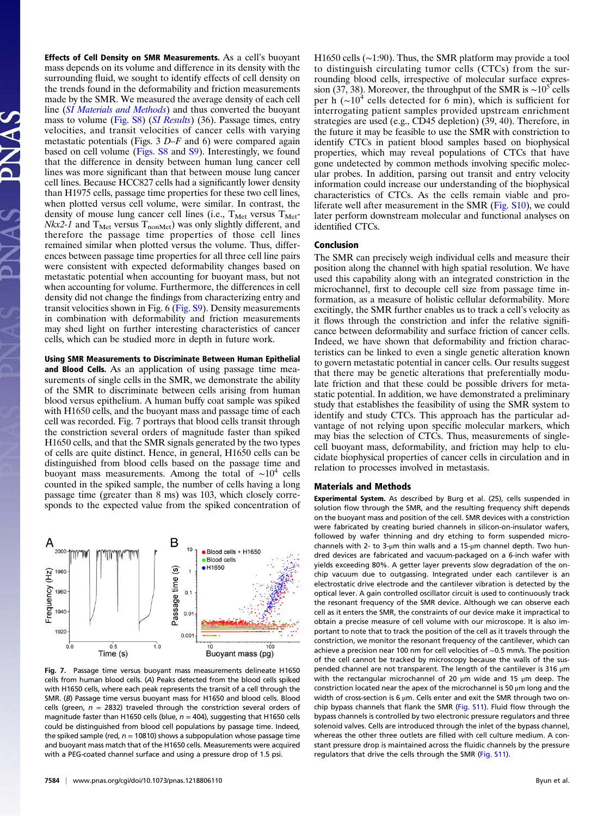Effects of Cell Density on SMR Measurements. As a cell's buoyant mass depends on its volume and difference in its density with the surrounding fluid, we sought to identify effects of cell density on the trends found in the deformability and friction measurements made by the SMR. We measured the average density of each cell line ([SI Materials and Methods](http://www.pnas.org/lookup/suppl/doi:10.1073/pnas.1218806110/-/DCSupplemental/pnas.201218806SI.pdf?targetid=nameddest=STXT)) and thus converted the buoyant mass to volume [\(Fig. S8](http://www.pnas.org/lookup/suppl/doi:10.1073/pnas.1218806110/-/DCSupplemental/pnas.201218806SI.pdf?targetid=nameddest=SF8)) ([SI Results](http://www.pnas.org/lookup/suppl/doi:10.1073/pnas.1218806110/-/DCSupplemental/pnas.201218806SI.pdf?targetid=nameddest=STXT)) (36). Passage times, entry velocities, and transit velocities of cancer cells with varying metastatic potentials (Figs.  $3 D-F$  and 6) were compared again based on cell volume ([Figs. S8](http://www.pnas.org/lookup/suppl/doi:10.1073/pnas.1218806110/-/DCSupplemental/pnas.201218806SI.pdf?targetid=nameddest=SF8) and [S9\)](http://www.pnas.org/lookup/suppl/doi:10.1073/pnas.1218806110/-/DCSupplemental/pnas.201218806SI.pdf?targetid=nameddest=SF9). Interestingly, we found that the difference in density between human lung cancer cell lines was more significant than that between mouse lung cancer cell lines. Because HCC827 cells had a significantly lower density than H1975 cells, passage time properties for these two cell lines, when plotted versus cell volume, were similar. In contrast, the density of mouse lung cancer cell lines (i.e.,  $T_{\text{Met}}$  versus  $T_{\text{Met}}$ - $Nkx2-1$  and  $T<sub>Met</sub>$  versus  $T<sub>nonMet</sub>$ ) was only slightly different, and therefore the passage time properties of those cell lines remained similar when plotted versus the volume. Thus, differences between passage time properties for all three cell line pairs were consistent with expected deformability changes based on metastatic potential when accounting for buoyant mass, but not when accounting for volume. Furthermore, the differences in cell density did not change the findings from characterizing entry and transit velocities shown in Fig. 6 [\(Fig. S9](http://www.pnas.org/lookup/suppl/doi:10.1073/pnas.1218806110/-/DCSupplemental/pnas.201218806SI.pdf?targetid=nameddest=SF9)). Density measurements in combination with deformability and friction measurements may shed light on further interesting characteristics of cancer cells, which can be studied more in depth in future work.

#### Using SMR Measurements to Discriminate Between Human Epithelial

and Blood Cells. As an application of using passage time measurements of single cells in the SMR, we demonstrate the ability of the SMR to discriminate between cells arising from human blood versus epithelium. A human buffy coat sample was spiked with H1650 cells, and the buoyant mass and passage time of each cell was recorded. Fig. 7 portrays that blood cells transit through the constriction several orders of magnitude faster than spiked H1650 cells, and that the SMR signals generated by the two types of cells are quite distinct. Hence, in general, H1650 cells can be distinguished from blood cells based on the passage time and buoyant mass measurements. Among the total of  $~\sim 10^4$  cells counted in the spiked sample, the number of cells having a long passage time (greater than 8 ms) was 103, which closely corresponds to the expected value from the spiked concentration of



Fig. 7. Passage time versus buoyant mass measurements delineate H1650 cells from human blood cells. (A) Peaks detected from the blood cells spiked with H1650 cells, where each peak represents the transit of a cell through the SMR. (B) Passage time versus buoyant mass for H1650 and blood cells. Blood cells (green,  $n = 2832$ ) traveled through the constriction several orders of magnitude faster than H1650 cells (blue,  $n = 404$ ), suggesting that H1650 cells could be distinguished from blood cell populations by passage time. Indeed, the spiked sample (red,  $n = 10810$ ) shows a subpopulation whose passage time and buoyant mass match that of the H1650 cells. Measurements were acquired with a PEG-coated channel surface and using a pressure drop of 1.5 psi.

H1650 cells (∼1:90). Thus, the SMR platform may provide a tool to distinguish circulating tumor cells (CTCs) from the surrounding blood cells, irrespective of molecular surface expression (37, 38). Moreover, the throughput of the SMR is  $\sim$ 10<sup>5</sup> cells per h ( $\sim$ 10<sup>4</sup> cells detected for 6 min), which is sufficient for interrogating patient samples provided upstream enrichment strategies are used (e.g., CD45 depletion) (39, 40). Therefore, in the future it may be feasible to use the SMR with constriction to identify CTCs in patient blood samples based on biophysical properties, which may reveal populations of CTCs that have gone undetected by common methods involving specific molecular probes. In addition, parsing out transit and entry velocity information could increase our understanding of the biophysical characteristics of CTCs. As the cells remain viable and proliferate well after measurement in the SMR ([Fig. S10\)](http://www.pnas.org/lookup/suppl/doi:10.1073/pnas.1218806110/-/DCSupplemental/pnas.201218806SI.pdf?targetid=nameddest=SF10), we could later perform downstream molecular and functional analyses on identified CTCs.

### Conclusion

The SMR can precisely weigh individual cells and measure their position along the channel with high spatial resolution. We have used this capability along with an integrated constriction in the microchannel, first to decouple cell size from passage time information, as a measure of holistic cellular deformability. More excitingly, the SMR further enables us to track a cell's velocity as it flows through the constriction and infer the relative significance between deformability and surface friction of cancer cells. Indeed, we have shown that deformability and friction characteristics can be linked to even a single genetic alteration known to govern metastatic potential in cancer cells. Our results suggest that there may be genetic alterations that preferentially modulate friction and that these could be possible drivers for metastatic potential. In addition, we have demonstrated a preliminary study that establishes the feasibility of using the SMR system to identify and study CTCs. This approach has the particular advantage of not relying upon specific molecular markers, which may bias the selection of CTCs. Thus, measurements of singlecell buoyant mass, deformability, and friction may help to elucidate biophysical properties of cancer cells in circulation and in relation to processes involved in metastasis.

#### Materials and Methods

Experimental System. As described by Burg et al. (25), cells suspended in solution flow through the SMR, and the resulting frequency shift depends on the buoyant mass and position of the cell. SMR devices with a constriction were fabricated by creating buried channels in silicon-on-insulator wafers, followed by wafer thinning and dry etching to form suspended microchannels with 2- to 3-μm thin walls and a 15-μm channel depth. Two hundred devices are fabricated and vacuum-packaged on a 6-inch wafer with yields exceeding 80%. A getter layer prevents slow degradation of the onchip vacuum due to outgassing. Integrated under each cantilever is an electrostatic drive electrode and the cantilever vibration is detected by the optical lever. A gain controlled oscillator circuit is used to continuously track the resonant frequency of the SMR device. Although we can observe each cell as it enters the SMR, the constraints of our device make it impractical to obtain a precise measure of cell volume with our microscope. It is also important to note that to track the position of the cell as it travels through the constriction, we monitor the resonant frequency of the cantilever, which can achieve a precision near 100 nm for cell velocities of ∼0.5 mm/s. The position of the cell cannot be tracked by microscopy because the walls of the suspended channel are not transparent. The length of the cantilever is 316 μm with the rectangular microchannel of 20 μm wide and 15 μm deep. The constriction located near the apex of the microchannel is 50 μm long and the width of cross-section is 6 μm. Cells enter and exit the SMR through two onchip bypass channels that flank the SMR [\(Fig. S11](http://www.pnas.org/lookup/suppl/doi:10.1073/pnas.1218806110/-/DCSupplemental/pnas.201218806SI.pdf?targetid=nameddest=SF11)). Fluid flow through the bypass channels is controlled by two electronic pressure regulators and three solenoid valves. Cells are introduced through the inlet of the bypass channel, whereas the other three outlets are filled with cell culture medium. A constant pressure drop is maintained across the fluidic channels by the pressure regulators that drive the cells through the SMR ([Fig. S11\)](http://www.pnas.org/lookup/suppl/doi:10.1073/pnas.1218806110/-/DCSupplemental/pnas.201218806SI.pdf?targetid=nameddest=SF11).